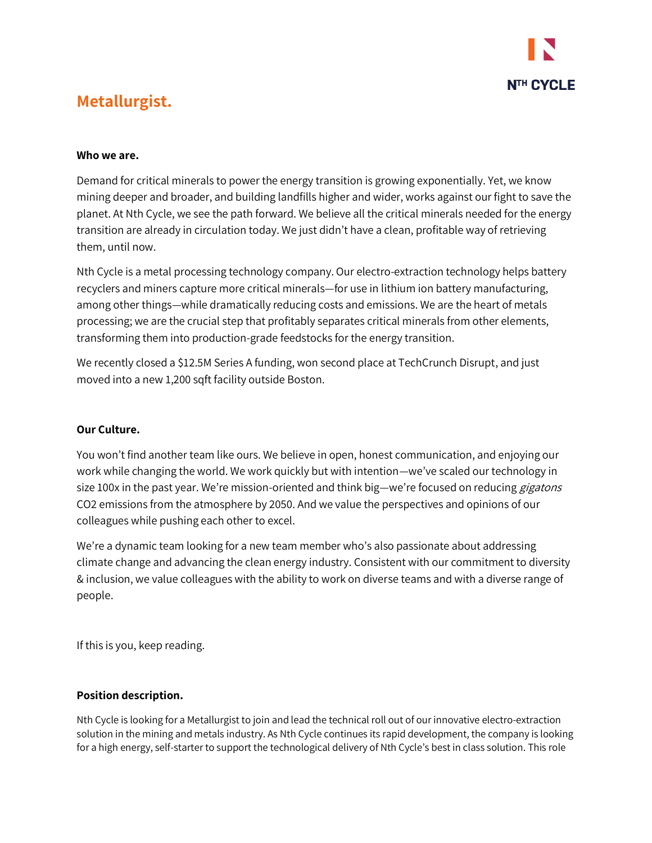

# **Metallurgist.**

### **Who we are.**

Demand for critical minerals to power the energy transition is growing exponentially. Yet, we know mining deeper and broader, and building landfills higher and wider, works against our fight to save the planet. At Nth Cycle, we see the path forward. We believe all the critical minerals needed for the energy transition are already in circulation today. We just didn't have a clean, profitable way of retrieving them, until now.

Nth Cycle is a metal processing technology company. Our electro-extraction technology helps battery recyclers and miners capture more critical minerals—for use in lithium ion battery manufacturing, among other things—while dramatically reducing costs and emissions. We are the heart of metals processing; we are the crucial step that profitably separates critical minerals from other elements, transforming them into production-grade feedstocks for the energy transition.

We recently closed a \$12.5M Series A funding, won second place at TechCrunch Disrupt, and just moved into a new 1,200 sqft facility outside Boston.

# **Our Culture.**

You won't find another team like ours. We believe in open, honest communication, and enjoying our work while changing the world. We work quickly but with intention—we've scaled our technology in size 100x in the past year. We're mission-oriented and think big—we're focused on reducing *gigatons* CO2 emissions from the atmosphere by 2050. And we value the perspectives and opinions of our colleagues while pushing each other to excel.

We're a dynamic team looking for a new team member who's also passionate about addressing climate change and advancing the clean energy industry. Consistent with our commitment to diversity & inclusion, we value colleagues with the ability to work on diverse teams and with a diverse range of people.

If this is you, keep reading.

#### **Position description.**

Nth Cycle is looking for a Metallurgist to join and lead the technical roll out of our innovative electro-extraction solution in the mining and metals industry. As Nth Cycle continues its rapid development, the company is looking for a high energy, self-starter to support the technological delivery of Nth Cycle's best in class solution. This role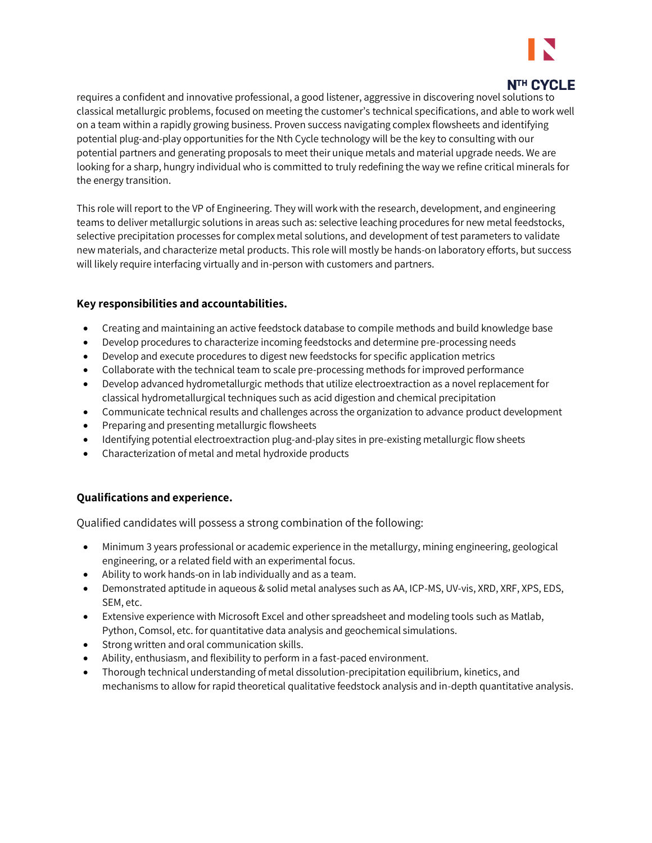

# N<sub>TH</sub> C<sub>VCI</sub> F

requires a confident and innovative professional, a good listener, aggressive in discovering novel solutions to classical metallurgic problems, focused on meeting the customer's technical specifications, and able to work well on a team within a rapidly growing business. Proven success navigating complex flowsheets and identifying potential plug-and-play opportunities for the Nth Cycle technology will be the key to consulting with our potential partners and generating proposals to meet their unique metals and material upgrade needs. We are looking for a sharp, hungry individual who is committed to truly redefining the way we refine critical minerals for the energy transition.

This role will report to the VP of Engineering. They will work with the research, development, and engineering teams to deliver metallurgic solutions in areas such as: selective leaching procedures for new metal feedstocks, selective precipitation processes for complex metal solutions, and development of test parameters to validate new materials, and characterize metal products. This role will mostly be hands-on laboratory efforts, but success will likely require interfacing virtually and in-person with customers and partners.

#### **Key responsibilities and accountabilities.**

- Creating and maintaining an active feedstock database to compile methods and build knowledge base
- Develop procedures to characterize incoming feedstocks and determine pre-processing needs
- Develop and execute procedures to digest new feedstocks for specific application metrics
- Collaborate with the technical team to scale pre-processing methods for improved performance
- Develop advanced hydrometallurgic methods that utilize electroextraction as a novel replacement for classical hydrometallurgical techniques such as acid digestion and chemical precipitation
- Communicate technical results and challenges across the organization to advance product development
- Preparing and presenting metallurgic flowsheets
- Identifying potential electroextraction plug-and-play sites in pre-existing metallurgic flow sheets
- Characterization of metal and metal hydroxide products

# **Qualifications and experience.**

Qualified candidates will possess a strong combination of the following:

- Minimum 3 years professional or academic experience in the metallurgy, mining engineering, geological engineering, or a related field with an experimental focus.
- Ability to work hands-on in lab individually and as a team.
- Demonstrated aptitude in aqueous & solid metal analyses such as AA, ICP-MS, UV-vis, XRD, XRF, XPS, EDS, SEM, etc.
- Extensive experience with Microsoft Excel and other spreadsheet and modeling tools such as Matlab, Python, Comsol, etc. for quantitative data analysis and geochemical simulations.
- Strong written and oral communication skills.
- Ability, enthusiasm, and flexibility to perform in a fast-paced environment.
- Thorough technical understanding of metal dissolution-precipitation equilibrium, kinetics, and mechanisms to allow for rapid theoretical qualitative feedstock analysis and in-depth quantitative analysis.